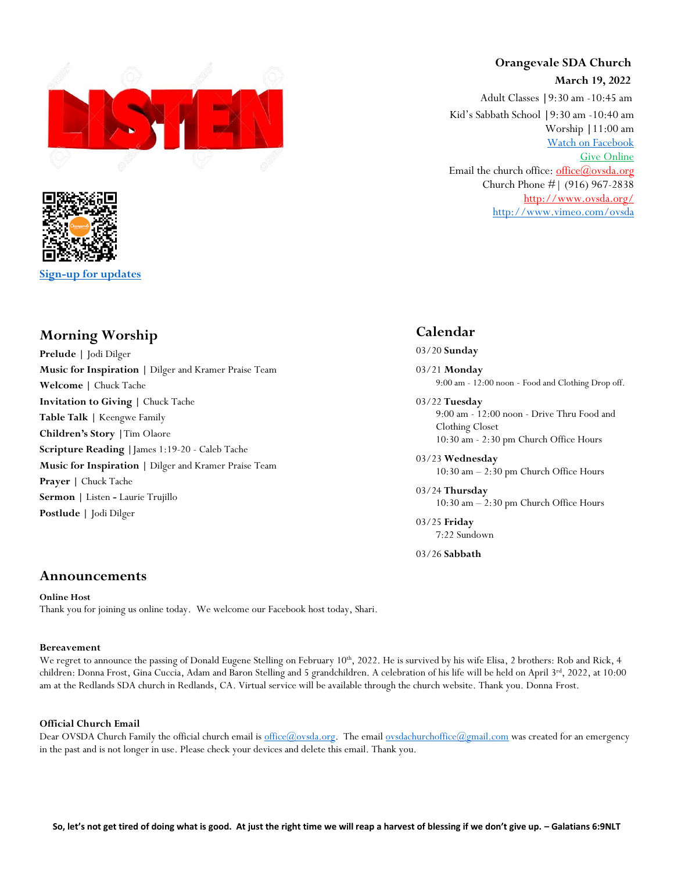



**[Sign-up for updates](https://app.textinchurch.com/groups/familyform/MzE0NDM)**

## **Morning Worship**

**Prelude |** Jodi Dilger **Music for Inspiration |** Dilger and Kramer Praise Team **Welcome |** Chuck Tache **Invitation to Giving |** Chuck Tache **Table Talk |** Keengwe Family **Children's Story |**Tim Olaore **Scripture Reading |**James 1:19-20 - Caleb Tache **Music for Inspiration |** Dilger and Kramer Praise Team **Prayer |** Chuck Tache **Sermon |** Listen **-** Laurie Trujillo **Postlude |** Jodi Dilger

# **Orangevale SDA Church**

**March 19, 2022**

Adult Classes **|**9:30 am -10:45 am Kid's Sabbath School **|**9:30 am -10:40 am Worship **|**11:00 am [Watch on Facebook](https://www.facebook.com/OrangevaleSDAChurch) [Give Online](https://adventistgiving.org/#/org/ANPIK1/envelope/start) Email the church office: office $(\omega)$ ovsda.org Church Phone #| (916) 967-2838 <http://www.ovsda.org/> <http://www.vimeo.com/ovsda>

## **Calendar**

03/20 **Sunday**

03/21 **Monday** 9:00 am - 12:00 noon - Food and Clothing Drop off.

- 03/22 **Tuesday** 9:00 am - 12:00 noon - Drive Thru Food and Clothing Closet 10:30 am - 2:30 pm Church Office Hours
- 03/23 **Wednesday** 10:30 am – 2:30 pm Church Office Hours

03/24 **Thursday** 10:30 am – 2:30 pm Church Office Hours

03/25 **Friday** 7:22 Sundown

03/26 **Sabbath**

### **Announcements**

**Online Host** Thank you for joining us online today. We welcome our Facebook host today, Shari.

#### **Bereavement**

We regret to announce the passing of Donald Eugene Stelling on February 10<sup>th</sup>, 2022. He is survived by his wife Elisa, 2 brothers: Rob and Rick, 4 children: Donna Frost, Gina Cuccia, Adam and Baron Stelling and 5 grandchildren. A celebration of his life will be held on April 3<sup>rd</sup>, 2022, at 10:00 am at the Redlands SDA church in Redlands, CA. Virtual service will be available through the church website. Thank you. Donna Frost.

#### **Official Church Email**

Dear OVSDA Church Family the official church email is [office@ovsda.org.](mailto:office@ovsda.org) The emai[l ovsdachurchoffice@gmail.com](mailto:ovsdachurchoffice@gmail.com) was created for an emergency in the past and is not longer in use. Please check your devices and delete this email. Thank you.